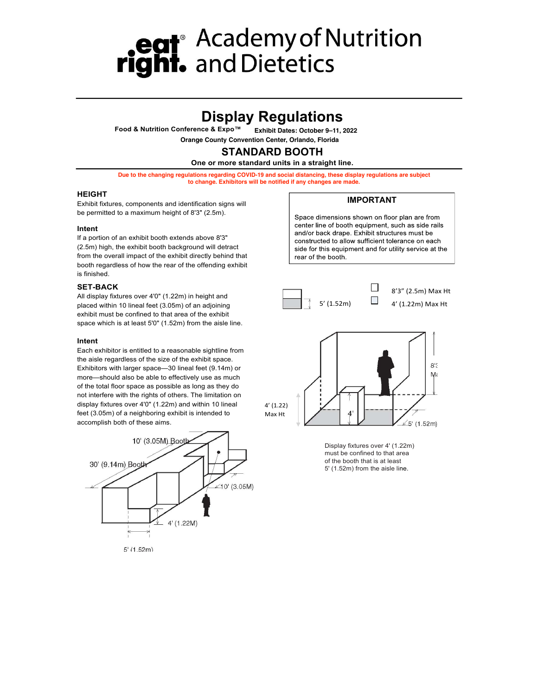## **Display Regulations**

**Food & Nutrition Conference & Expo™ Exhibit Dates: October 9–11, 2022** 

**Orange County Convention Center, Orlando, Florida STANDARD BOOTH**

### **One or more standard units in a straight line.**

**Due to the changing regulations regarding COVID-19 and social distancing, these display regulations are subject to change. Exhibitors will be notified if any changes are made.**

#### **HEIGHT**

Exhibit fixtures, components and identification signs will be permitted to a maximum height of 8'3" (2.5m).

#### **Intent**

If a portion of an exhibit booth extends above 8'3" (2.5m) high, the exhibit booth background will detract from the overall impact of the exhibit directly behind that booth regardless of how the rear of the offending exhibit is finished.

#### **SET-BACK**

All display fixtures over 4'0" (1.22m) in height and placed within 10 lineal feet (3.05m) of an adjoining exhibit must be confined to that area of the exhibit space which is at least 5'0" (1.52m) from the aisle line.

#### **Intent**

Each exhibitor is entitled to a reasonable sightline from the aisle regardless of the size of the exhibit space. Exhibitors with larger space—30 lineal feet (9.14m) or more—should also be able to effectively use as much of the total floor space as possible as long as they do not interfere with the rights of others. The limitation on display fixtures over 4'0" (1.22m) and within 10 lineal feet (3.05m) of a neighboring exhibit is intended to accomplish both of these aims.





#### **IMPORTANT**

Space dimensions shown on floor plan are from center line of booth equipment, such as side rails and/or back drape. Exhibit structures must be constructed to allow sufficient tolerance on each side for this equipment and for utility service at the rear of the booth.





Display fixtures over 4' (1.22m) must be confined to that area of the booth that is at least 5' (1.52m) from the aisle line.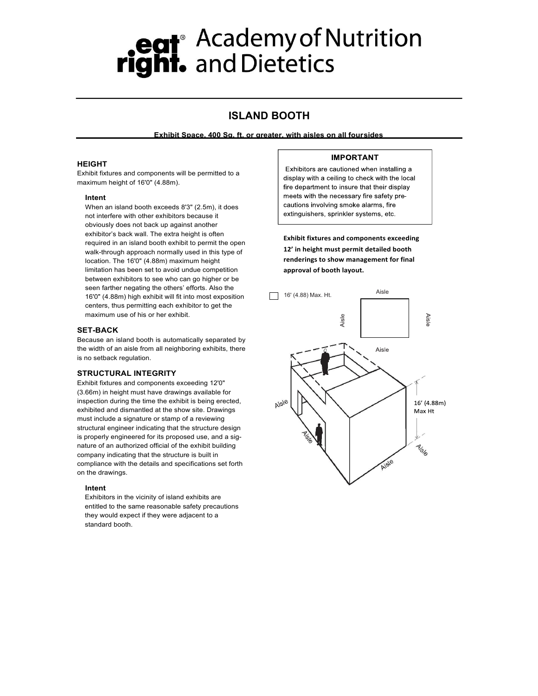### **ISLAND BOOTH**

**Exhibit Space, 400 Sq. ft. or greater, with aisles on all foursides**

#### **HEIGHT**

Exhibit fixtures and components will be permitted to a maximum height of 16'0" (4.88m).

#### **Intent**

When an island booth exceeds 8'3" (2.5m), it does not interfere with other exhibitors because it obviously does not back up against another exhibitor's back wall. The extra height is often required in an island booth exhibit to permit the open walk-through approach normally used in this type of location. The 16'0" (4.88m) maximum height limitation has been set to avoid undue competition between exhibitors to see who can go higher or be seen farther negating the others' efforts. Also the 16'0" (4.88m) high exhibit will fit into most exposition centers, thus permitting each exhibitor to get the maximum use of his or her exhibit.

#### **SET-BACK**

Because an island booth is automatically separated by the width of an aisle from all neighboring exhibits, there is no setback regulation.

#### **STRUCTURAL INTEGRITY**

Exhibit fixtures and components exceeding 12'0" (3.66m) in height must have drawings available for inspection during the time the exhibit is being erected, exhibited and dismantled at the show site. Drawings must include a signature or stamp of a reviewing structural engineer indicating that the structure design is properly engineered for its proposed use, and a signature of an authorized official of the exhibit building company indicating that the structure is built in compliance with the details and specifications set forth on the drawings.

#### **Intent**

Exhibitors in the vicinity of island exhibits are entitled to the same reasonable safety precautions they would expect if they were adjacent to a standard booth.

#### **IMPORTANT**

Exhibitors are cautioned when installing a display with a ceiling to check with the local fire department to insure that their display meets with the necessary fire safety precautions involving smoke alarms, fire extinguishers, sprinkler systems, etc.

**Exhibit fixtures and components exceeding** 12' in height must permit detailed booth renderings to show management for final **approval'of'booth'layout.**

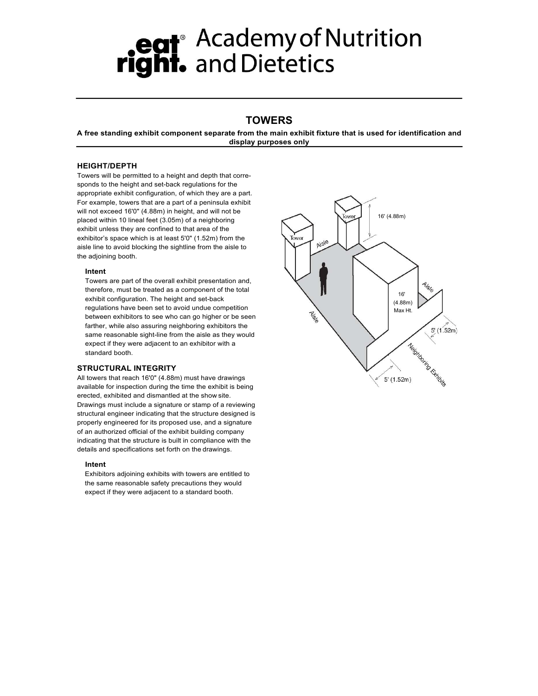### **TOWERS**

**A free standing exhibit component separate from the main exhibit fixture that is used for identification and display purposes only**

#### **HEIGHT/DEPTH**

Towers will be permitted to a height and depth that corresponds to the height and set-back regulations for the appropriate exhibit configuration, of which they are a part. For example, towers that are a part of a peninsula exhibit will not exceed 16'0" (4.88m) in height, and will not be placed within 10 lineal feet (3.05m) of a neighboring exhibit unless they are confined to that area of the exhibitor's space which is at least 5'0" (1.52m) from the aisle line to avoid blocking the sightline from the aisle to the adjoining booth.

#### **Intent**

Towers are part of the overall exhibit presentation and, therefore, must be treated as a component of the total exhibit configuration. The height and set-back regulations have been set to avoid undue competition between exhibitors to see who can go higher or be seen farther, while also assuring neighboring exhibitors the same reasonable sight-line from the aisle as they would expect if they were adjacent to an exhibitor with a standard booth.

#### **STRUCTURAL INTEGRITY**

All towers that reach 16'0" (4.88m) must have drawings available for inspection during the time the exhibit is being erected, exhibited and dismantled at the show site. Drawings must include a signature or stamp of a reviewing structural engineer indicating that the structure designed is properly engineered for its proposed use, and a signature of an authorized official of the exhibit building company indicating that the structure is built in compliance with the details and specifications set forth on the drawings.

#### **Intent**

Exhibitors adjoining exhibits with towers are entitled to the same reasonable safety precautions they would expect if they were adjacent to a standard booth.

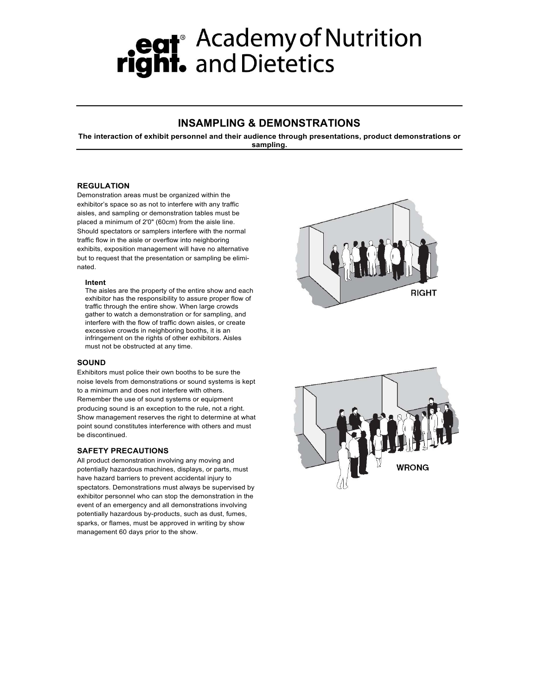### **INSAMPLING & DEMONSTRATIONS**

**The interaction of exhibit personnel and their audience through presentations, product demonstrations or sampling.**

#### **REGULATION**

Demonstration areas must be organized within the exhibitor's space so as not to interfere with any traffic aisles, and sampling or demonstration tables must be placed a minimum of 2'0" (60cm) from the aisle line. Should spectators or samplers interfere with the normal traffic flow in the aisle or overflow into neighboring exhibits, exposition management will have no alternative but to request that the presentation or sampling be eliminated.

#### **Intent**

The aisles are the property of the entire show and each exhibitor has the responsibility to assure proper flow of traffic through the entire show. When large crowds gather to watch a demonstration or for sampling, and interfere with the flow of traffic down aisles, or create excessive crowds in neighboring booths, it is an infringement on the rights of other exhibitors. Aisles must not be obstructed at any time.

#### **SOUND**

Exhibitors must police their own booths to be sure the noise levels from demonstrations or sound systems is kept to a minimum and does not interfere with others. Remember the use of sound systems or equipment producing sound is an exception to the rule, not a right. Show management reserves the right to determine at what point sound constitutes interference with others and must be discontinued.

#### **SAFETY PRECAUTIONS**

All product demonstration involving any moving and potentially hazardous machines, displays, or parts, must have hazard barriers to prevent accidental injury to spectators. Demonstrations must always be supervised by exhibitor personnel who can stop the demonstration in the event of an emergency and all demonstrations involving potentially hazardous by-products, such as dust, fumes, sparks, or flames, must be approved in writing by show management 60 days prior to the show.